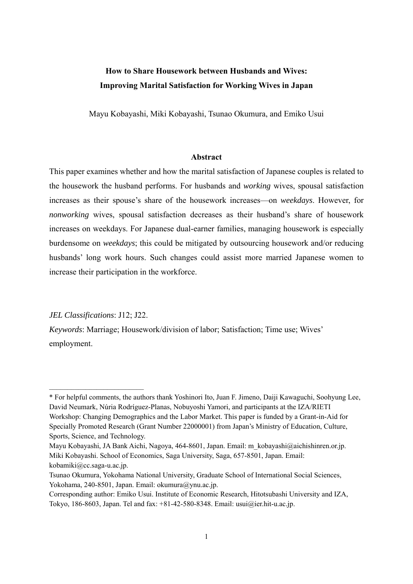# **How to Share Housework between Husbands and Wives: Improving Marital Satisfaction for Working Wives in Japan**

Mayu Kobayashi, Miki Kobayashi, Tsunao Okumura, and Emiko Usui

#### **Abstract**

This paper examines whether and how the marital satisfaction of Japanese couples is related to the housework the husband performs. For husbands and *working* wives, spousal satisfaction increases as their spouse's share of the housework increases—on *weekdays*. However, for *nonworking* wives, spousal satisfaction decreases as their husband's share of housework increases on weekdays. For Japanese dual-earner families, managing housework is especially burdensome on *weekdays*; this could be mitigated by outsourcing housework and/or reducing husbands' long work hours. Such changes could assist more married Japanese women to increase their participation in the workforce.

*JEL Classifications*: J12; J22.

*Keywords*: Marriage; Housework/division of labor; Satisfaction; Time use; Wives' employment.

<sup>\*</sup> For helpful comments, the authors thank Yoshinori Ito, Juan F. Jimeno, Daiji Kawaguchi, Soohyung Lee, David Neumark, Núria Rodríguez-Planas, Nobuyoshi Yamori, and participants at the IZA/RIETI Workshop: Changing Demographics and the Labor Market. This paper is funded by a Grant-in-Aid for Specially Promoted Research (Grant Number 22000001) from Japan's Ministry of Education, Culture, Sports, Science, and Technology.

Mayu Kobayashi, JA Bank Aichi, Nagoya, 464-8601, Japan. Email: m\_kobayashi@aichishinren.or.jp. Miki Kobayashi. School of Economics, Saga University, Saga, 657-8501, Japan. Email: kobamiki@cc.saga-u.ac.jp.

Tsunao Okumura, Yokohama National University, Graduate School of International Social Sciences, Yokohama, 240-8501, Japan. Email: okumura@ynu.ac.jp.

Corresponding author: Emiko Usui. Institute of Economic Research, Hitotsubashi University and IZA, Tokyo, 186-8603, Japan. Tel and fax: +81-42-580-8348. Email: usui@ier.hit-u.ac.jp.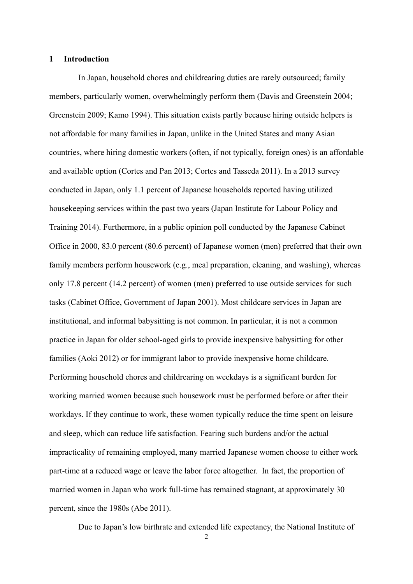#### **1 Introduction**

In Japan, household chores and childrearing duties are rarely outsourced; family members, particularly women, overwhelmingly perform them (Davis and Greenstein 2004; Greenstein 2009; Kamo 1994). This situation exists partly because hiring outside helpers is not affordable for many families in Japan, unlike in the United States and many Asian countries, where hiring domestic workers (often, if not typically, foreign ones) is an affordable and available option (Cortes and Pan 2013; Cortes and Tasseda 2011). In a 2013 survey conducted in Japan, only 1.1 percent of Japanese households reported having utilized housekeeping services within the past two years (Japan Institute for Labour Policy and Training 2014). Furthermore, in a public opinion poll conducted by the Japanese Cabinet Office in 2000, 83.0 percent (80.6 percent) of Japanese women (men) preferred that their own family members perform housework (e.g., meal preparation, cleaning, and washing), whereas only 17.8 percent (14.2 percent) of women (men) preferred to use outside services for such tasks (Cabinet Office, Government of Japan 2001). Most childcare services in Japan are institutional, and informal babysitting is not common. In particular, it is not a common practice in Japan for older school-aged girls to provide inexpensive babysitting for other families (Aoki 2012) or for immigrant labor to provide inexpensive home childcare. Performing household chores and childrearing on weekdays is a significant burden for working married women because such housework must be performed before or after their workdays. If they continue to work, these women typically reduce the time spent on leisure and sleep, which can reduce life satisfaction. Fearing such burdens and/or the actual impracticality of remaining employed, many married Japanese women choose to either work part-time at a reduced wage or leave the labor force altogether. In fact, the proportion of married women in Japan who work full-time has remained stagnant, at approximately 30 percent, since the 1980s (Abe 2011).

Due to Japan's low birthrate and extended life expectancy, the National Institute of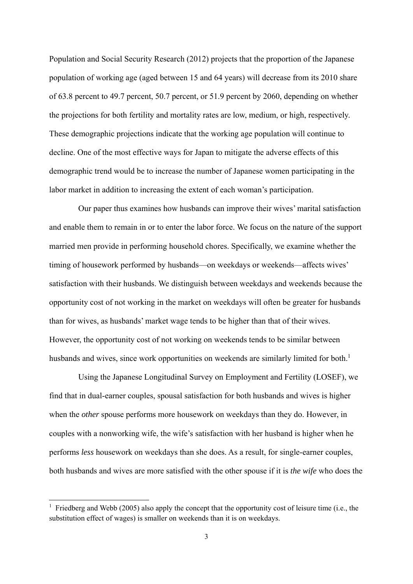Population and Social Security Research (2012) projects that the proportion of the Japanese population of working age (aged between 15 and 64 years) will decrease from its 2010 share of 63.8 percent to 49.7 percent, 50.7 percent, or 51.9 percent by 2060, depending on whether the projections for both fertility and mortality rates are low, medium, or high, respectively. These demographic projections indicate that the working age population will continue to decline. One of the most effective ways for Japan to mitigate the adverse effects of this demographic trend would be to increase the number of Japanese women participating in the labor market in addition to increasing the extent of each woman's participation.

Our paper thus examines how husbands can improve their wives' marital satisfaction and enable them to remain in or to enter the labor force. We focus on the nature of the support married men provide in performing household chores. Specifically, we examine whether the timing of housework performed by husbands—on weekdays or weekends—affects wives' satisfaction with their husbands. We distinguish between weekdays and weekends because the opportunity cost of not working in the market on weekdays will often be greater for husbands than for wives, as husbands' market wage tends to be higher than that of their wives. However, the opportunity cost of not working on weekends tends to be similar between husbands and wives, since work opportunities on weekends are similarly limited for both.<sup>1</sup>

Using the Japanese Longitudinal Survey on Employment and Fertility (LOSEF), we find that in dual-earner couples, spousal satisfaction for both husbands and wives is higher when the *other* spouse performs more housework on weekdays than they do. However, in couples with a nonworking wife, the wife's satisfaction with her husband is higher when he performs *less* housework on weekdays than she does. As a result, for single-earner couples, both husbands and wives are more satisfied with the other spouse if it is *the wife* who does the

<sup>&</sup>lt;sup>1</sup> Friedberg and Webb (2005) also apply the concept that the opportunity cost of leisure time (i.e., the substitution effect of wages) is smaller on weekends than it is on weekdays.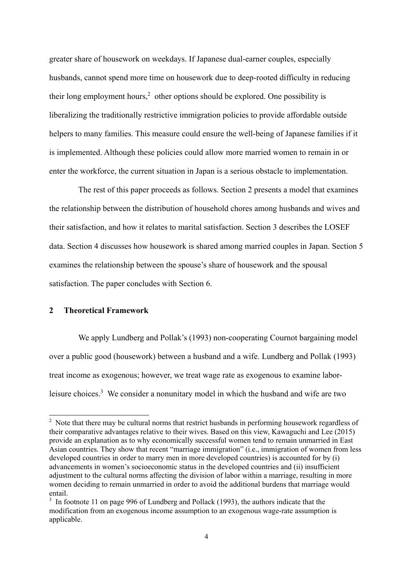greater share of housework on weekdays. If Japanese dual-earner couples, especially husbands, cannot spend more time on housework due to deep-rooted difficulty in reducing their long employment hours, $2$  other options should be explored. One possibility is liberalizing the traditionally restrictive immigration policies to provide affordable outside helpers to many families. This measure could ensure the well-being of Japanese families if it is implemented. Although these policies could allow more married women to remain in or enter the workforce, the current situation in Japan is a serious obstacle to implementation.

The rest of this paper proceeds as follows. Section 2 presents a model that examines the relationship between the distribution of household chores among husbands and wives and their satisfaction, and how it relates to marital satisfaction. Section 3 describes the LOSEF data. Section 4 discusses how housework is shared among married couples in Japan. Section 5 examines the relationship between the spouse's share of housework and the spousal satisfaction. The paper concludes with Section 6.

## **2 Theoretical Framework**

-

We apply Lundberg and Pollak's (1993) non-cooperating Cournot bargaining model over a public good (housework) between a husband and a wife. Lundberg and Pollak (1993) treat income as exogenous; however, we treat wage rate as exogenous to examine laborleisure choices.<sup>3</sup> We consider a nonunitary model in which the husband and wife are two

 $2$  Note that there may be cultural norms that restrict husbands in performing housework regardless of their comparative advantages relative to their wives. Based on this view, Kawaguchi and Lee (2015) provide an explanation as to why economically successful women tend to remain unmarried in East Asian countries. They show that recent "marriage immigration" (i.e., immigration of women from less developed countries in order to marry men in more developed countries) is accounted for by (i) advancements in women's socioeconomic status in the developed countries and (ii) insufficient adjustment to the cultural norms affecting the division of labor within a marriage, resulting in more women deciding to remain unmarried in order to avoid the additional burdens that marriage would entail.

 $3 \text{ In footnote 11 on page 996 of Lundberg and Pollack (1993), the authors indicate that the}$ modification from an exogenous income assumption to an exogenous wage-rate assumption is applicable.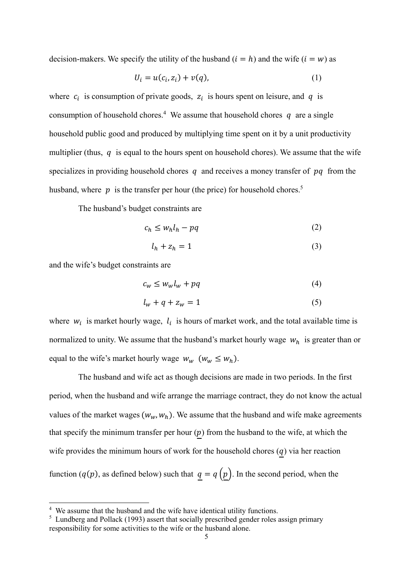decision-makers. We specify the utility of the husband  $(i = h)$  and the wife  $(i = w)$  as

$$
U_i = u(c_i, z_i) + v(q), \tag{1}
$$

where  $c_i$  is consumption of private goods,  $z_i$  is hours spent on leisure, and  $q$  is consumption of household chores.<sup>4</sup> We assume that household chores  $q$  are a single household public good and produced by multiplying time spent on it by a unit productivity multiplier (thus,  $q$  is equal to the hours spent on household chores). We assume that the wife specializes in providing household chores  $q$  and receives a money transfer of  $pq$  from the husband, where  $p$  is the transfer per hour (the price) for household chores.<sup>5</sup>

The husband's budget constraints are

$$
c_h \le w_h l_h - pq \tag{2}
$$

$$
l_h + z_h = 1 \tag{3}
$$

and the wife's budget constraints are

-

$$
c_w \le w_w l_w + pq \tag{4}
$$

$$
l_w + q + z_w = 1 \tag{5}
$$

where  $w_i$  is market hourly wage,  $l_i$  is hours of market work, and the total available time is normalized to unity. We assume that the husband's market hourly wage  $w_h$  is greater than or equal to the wife's market hourly wage  $w_w$  ( $w_w \leq w_h$ ).

The husband and wife act as though decisions are made in two periods. In the first period, when the husband and wife arrange the marriage contract, they do not know the actual values of the market wages  $(w_w, w_h)$ . We assume that the husband and wife make agreements that specify the minimum transfer per hour  $(p)$  from the husband to the wife, at which the wife provides the minimum hours of work for the household chores  $(q)$  via her reaction function ( $q(p)$ , as defined below) such that  $q = q(p)$ . In the second period, when the

<sup>&</sup>lt;sup>4</sup> We assume that the husband and the wife have identical utility functions.

<sup>&</sup>lt;sup>5</sup> Lundberg and Pollack (1993) assert that socially prescribed gender roles assign primary responsibility for some activities to the wife or the husband alone.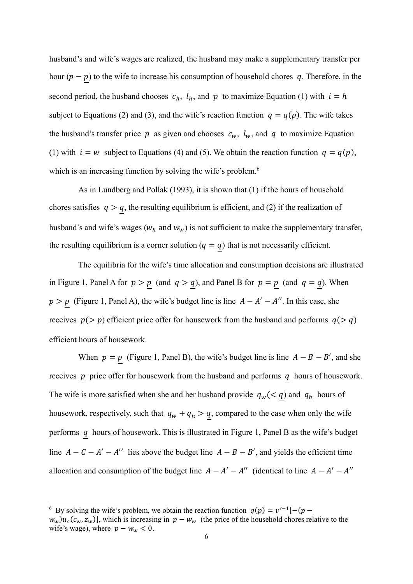husband's and wife's wages are realized, the husband may make a supplementary transfer per hour  $(p - p)$  to the wife to increase his consumption of household chores q. Therefore, in the second period, the husband chooses  $c_h$ ,  $l_h$ , and  $p$  to maximize Equation (1) with  $i = h$ subject to Equations (2) and (3), and the wife's reaction function  $q = q(p)$ . The wife takes the husband's transfer price p as given and chooses  $c_w$ ,  $l_w$ , and q to maximize Equation (1) with  $i = w$  subject to Equations (4) and (5). We obtain the reaction function  $q = q(p)$ , which is an increasing function by solving the wife's problem.<sup>6</sup>

As in Lundberg and Pollak (1993), it is shown that (1) if the hours of household chores satisfies  $q > q$ , the resulting equilibrium is efficient, and (2) if the realization of husband's and wife's wages ( $w_h$  and  $w_w$ ) is not sufficient to make the supplementary transfer, the resulting equilibrium is a corner solution ( $q = q$ ) that is not necessarily efficient.

The equilibria for the wife's time allocation and consumption decisions are illustrated in Figure 1, Panel A for  $p > p$  (and  $q > q$ ), and Panel B for  $p = p$  (and  $q = q$ ). When  $p > p$  (Figure 1, Panel A), the wife's budget line is line  $A - A' - A''$ . In this case, she receives  $p(> p)$  efficient price offer for housework from the husband and performs  $q(> q)$ efficient hours of housework.

When  $p = p$  (Figure 1, Panel B), the wife's budget line is line  $A - B - B'$ , and she receives  $p$  price offer for housework from the husband and performs  $q$  hours of housework. The wife is more satisfied when she and her husband provide  $q_w(< q)$  and  $q_h$  hours of housework, respectively, such that  $q_w + q_h > \underline{q}$ , compared to the case when only the wife performs  $q$  hours of housework. This is illustrated in Figure 1, Panel B as the wife's budget line  $A - C - A' - A''$  lies above the budget line  $A - B - B'$ , and yields the efficient time allocation and consumption of the budget line  $A - A' - A''$  (identical to line  $A - A' - A''$ 

<sup>&</sup>lt;sup>6</sup> By solving the wife's problem, we obtain the reaction function  $q(p) = v^{-1}[-(p -$ 

 $w_w u_c(c_w, z_w)$ , which is increasing in  $p - w_w$  (the price of the household chores relative to the wife's wage), where  $p - w_w < 0$ .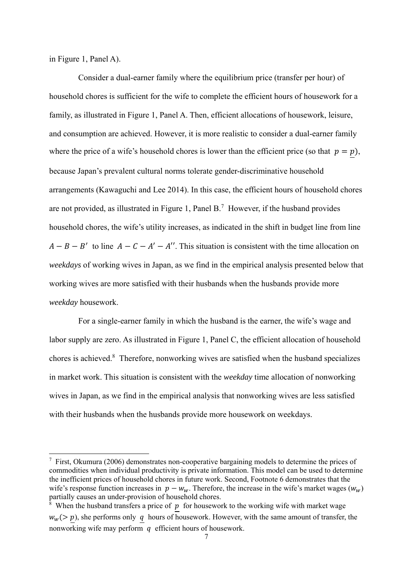in Figure 1, Panel A).

-

Consider a dual-earner family where the equilibrium price (transfer per hour) of household chores is sufficient for the wife to complete the efficient hours of housework for a family, as illustrated in Figure 1, Panel A. Then, efficient allocations of housework, leisure, and consumption are achieved. However, it is more realistic to consider a dual-earner family where the price of a wife's household chores is lower than the efficient price (so that  $p=p$ ), because Japan's prevalent cultural norms tolerate gender-discriminative household arrangements (Kawaguchi and Lee 2014). In this case, the efficient hours of household chores are not provided, as illustrated in Figure 1, Panel B.<sup>7</sup> However, if the husband provides household chores, the wife's utility increases, as indicated in the shift in budget line from line  $A - B - B'$  to line  $A - C - A' - A''$ . This situation is consistent with the time allocation on *weekdays* of working wives in Japan, as we find in the empirical analysis presented below that working wives are more satisfied with their husbands when the husbands provide more *weekday* housework.

For a single-earner family in which the husband is the earner, the wife's wage and labor supply are zero. As illustrated in Figure 1, Panel C, the efficient allocation of household chores is achieved.<sup>8</sup> Therefore, nonworking wives are satisfied when the husband specializes in market work. This situation is consistent with the *weekday* time allocation of nonworking wives in Japan, as we find in the empirical analysis that nonworking wives are less satisfied with their husbands when the husbands provide more housework on weekdays.

 $7$  First, Okumura (2006) demonstrates non-cooperative bargaining models to determine the prices of commodities when individual productivity is private information. This model can be used to determine the inefficient prices of household chores in future work. Second, Footnote 6 demonstrates that the wife's response function increases in  $p - w_w$ . Therefore, the increase in the wife's market wages ( $w_w$ ) partially causes an under-provision of household chores.

<sup>&</sup>lt;sup>8</sup> When the husband transfers a price of  $p$  for housework to the working wife with market wage  $w_w$ (> p), she performs only q hours of housework. However, with the same amount of transfer, the nonworking wife may perform  $\alpha$  efficient hours of housework.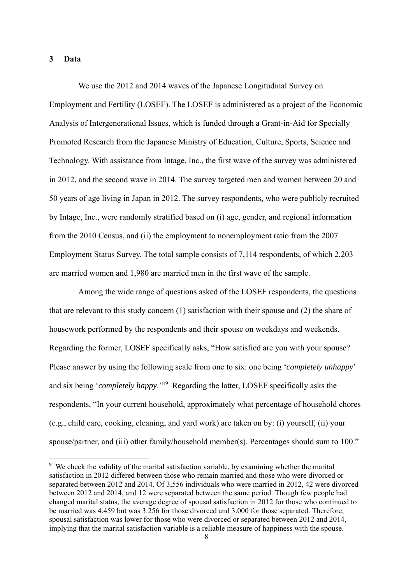## **3 Data**

-

We use the 2012 and 2014 waves of the Japanese Longitudinal Survey on Employment and Fertility (LOSEF). The LOSEF is administered as a project of the Economic Analysis of Intergenerational Issues, which is funded through a Grant-in-Aid for Specially Promoted Research from the Japanese Ministry of Education, Culture, Sports, Science and Technology. With assistance from Intage, Inc., the first wave of the survey was administered in 2012, and the second wave in 2014. The survey targeted men and women between 20 and 50 years of age living in Japan in 2012. The survey respondents, who were publicly recruited by Intage, Inc., were randomly stratified based on (i) age, gender, and regional information from the 2010 Census, and (ii) the employment to nonemployment ratio from the 2007 Employment Status Survey. The total sample consists of 7,114 respondents, of which 2,203 are married women and 1,980 are married men in the first wave of the sample.

Among the wide range of questions asked of the LOSEF respondents, the questions that are relevant to this study concern (1) satisfaction with their spouse and (2) the share of housework performed by the respondents and their spouse on weekdays and weekends. Regarding the former, LOSEF specifically asks, "How satisfied are you with your spouse? Please answer by using the following scale from one to six: one being '*completely unhappy*' and six being '*completely happy*.'"9 Regarding the latter, LOSEF specifically asks the respondents, "In your current household, approximately what percentage of household chores (e.g., child care, cooking, cleaning, and yard work) are taken on by: (i) yourself, (ii) your spouse/partner, and (iii) other family/household member(s). Percentages should sum to 100."

<sup>&</sup>lt;sup>9</sup> We check the validity of the marital satisfaction variable, by examining whether the marital satisfaction in 2012 differed between those who remain married and those who were divorced or separated between 2012 and 2014. Of 3,556 individuals who were married in 2012, 42 were divorced between 2012 and 2014, and 12 were separated between the same period. Though few people had changed marital status, the average degree of spousal satisfaction in 2012 for those who continued to be married was 4.459 but was 3.256 for those divorced and 3.000 for those separated. Therefore, spousal satisfaction was lower for those who were divorced or separated between 2012 and 2014, implying that the marital satisfaction variable is a reliable measure of happiness with the spouse.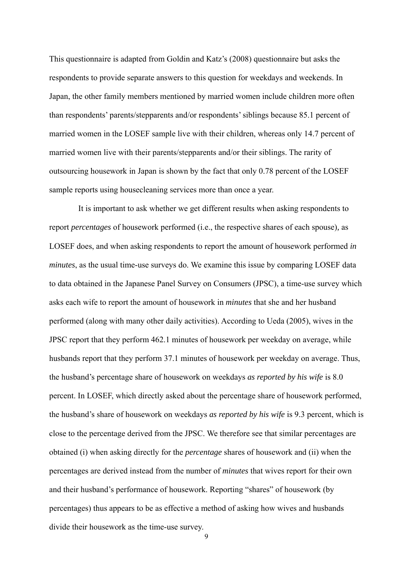This questionnaire is adapted from Goldin and Katz's (2008) questionnaire but asks the respondents to provide separate answers to this question for weekdays and weekends. In Japan, the other family members mentioned by married women include children more often than respondents' parents/stepparents and/or respondents' siblings because 85.1 percent of married women in the LOSEF sample live with their children, whereas only 14.7 percent of married women live with their parents/stepparents and/or their siblings. The rarity of outsourcing housework in Japan is shown by the fact that only 0.78 percent of the LOSEF sample reports using housecleaning services more than once a year.

It is important to ask whether we get different results when asking respondents to report *percentages* of housework performed (i.e., the respective shares of each spouse)*,* as LOSEF does, and when asking respondents to report the amount of housework performed *in minutes*, as the usual time-use surveys do. We examine this issue by comparing LOSEF data to data obtained in the Japanese Panel Survey on Consumers (JPSC), a time-use survey which asks each wife to report the amount of housework in *minutes* that she and her husband performed (along with many other daily activities). According to Ueda (2005), wives in the JPSC report that they perform 462.1 minutes of housework per weekday on average, while husbands report that they perform 37.1 minutes of housework per weekday on average. Thus, the husband's percentage share of housework on weekdays *as reported by his wife* is 8.0 percent. In LOSEF, which directly asked about the percentage share of housework performed, the husband's share of housework on weekdays *as reported by his wife* is 9.3 percent, which is close to the percentage derived from the JPSC. We therefore see that similar percentages are obtained (i) when asking directly for the *percentage* shares of housework and (ii) when the percentages are derived instead from the number of *minutes* that wives report for their own and their husband's performance of housework. Reporting "shares" of housework (by percentages) thus appears to be as effective a method of asking how wives and husbands divide their housework as the time-use survey.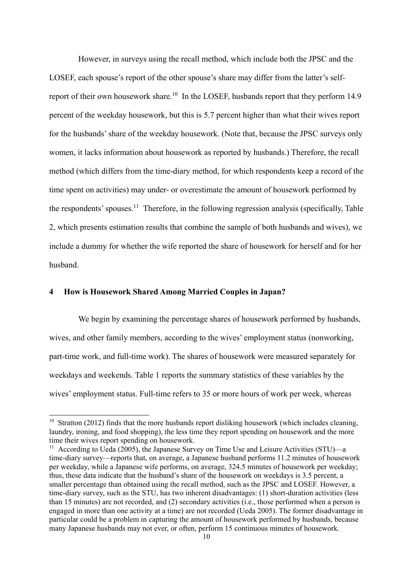However, in surveys using the recall method, which include both the JPSC and the LOSEF, each spouse's report of the other spouse's share may differ from the latter's selfreport of their own housework share.<sup>10</sup> In the LOSEF, husbands report that they perform 14.9 percent of the weekday housework, but this is 5.7 percent higher than what their wives report for the husbands' share of the weekday housework. (Note that, because the JPSC surveys only women, it lacks information about housework as reported by husbands.) Therefore, the recall method (which differs from the time-diary method, for which respondents keep a record of the time spent on activities) may under- or overestimate the amount of housework performed by the respondents' spouses.<sup>11</sup> Therefore, in the following regression analysis (specifically, Table 2, which presents estimation results that combine the sample of both husbands and wives), we include a dummy for whether the wife reported the share of housework for herself and for her husband.

# **4 How is Housework Shared Among Married Couples in Japan?**

-

We begin by examining the percentage shares of housework performed by husbands, wives, and other family members, according to the wives' employment status (nonworking, part-time work, and full-time work). The shares of housework were measured separately for weekdays and weekends. Table 1 reports the summary statistics of these variables by the wives' employment status. Full-time refers to 35 or more hours of work per week, whereas

 $10$  Stratton (2012) finds that the more husbands report disliking housework (which includes cleaning, laundry, ironing, and food shopping), the less time they report spending on housework and the more time their wives report spending on housework.

<sup>&</sup>lt;sup>11</sup> According to Ueda (2005), the Japanese Survey on Time Use and Leisure Activities (STU)—a time-diary survey—reports that, on average, a Japanese husband performs 11.2 minutes of housework per weekday, while a Japanese wife performs, on average, 324.5 minutes of housework per weekday; thus, these data indicate that the husband's share of the housework on weekdays is 3.5 percent, a smaller percentage than obtained using the recall method, such as the JPSC and LOSEF. However, a time-diary survey, such as the STU, has two inherent disadvantages: (1) short-duration activities (less than 15 minutes) are not recorded, and (2) secondary activities (i.e., those performed when a person is engaged in more than one activity at a time) are not recorded (Ueda 2005). The former disadvantage in particular could be a problem in capturing the amount of housework performed by husbands, because many Japanese husbands may not ever, or often, perform 15 continuous minutes of housework.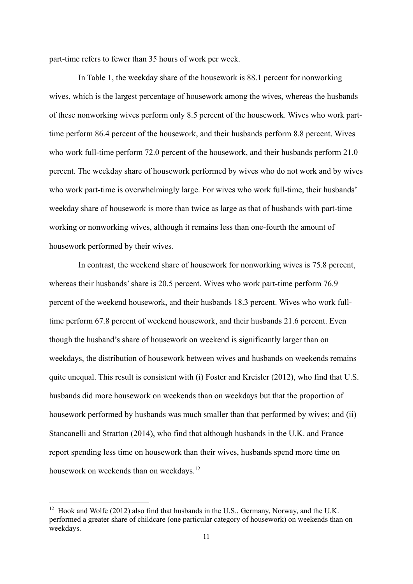part-time refers to fewer than 35 hours of work per week.

In Table 1, the weekday share of the housework is 88.1 percent for nonworking wives, which is the largest percentage of housework among the wives, whereas the husbands of these nonworking wives perform only 8.5 percent of the housework. Wives who work parttime perform 86.4 percent of the housework, and their husbands perform 8.8 percent. Wives who work full-time perform 72.0 percent of the housework, and their husbands perform 21.0 percent. The weekday share of housework performed by wives who do not work and by wives who work part-time is overwhelmingly large. For wives who work full-time, their husbands' weekday share of housework is more than twice as large as that of husbands with part-time working or nonworking wives, although it remains less than one-fourth the amount of housework performed by their wives.

In contrast, the weekend share of housework for nonworking wives is 75.8 percent, whereas their husbands' share is 20.5 percent. Wives who work part-time perform 76.9 percent of the weekend housework, and their husbands 18.3 percent. Wives who work fulltime perform 67.8 percent of weekend housework, and their husbands 21.6 percent. Even though the husband's share of housework on weekend is significantly larger than on weekdays, the distribution of housework between wives and husbands on weekends remains quite unequal. This result is consistent with (i) Foster and Kreisler (2012), who find that U.S. husbands did more housework on weekends than on weekdays but that the proportion of housework performed by husbands was much smaller than that performed by wives; and (ii) Stancanelli and Stratton (2014), who find that although husbands in the U.K. and France report spending less time on housework than their wives, husbands spend more time on housework on weekends than on weekdays.<sup>12</sup>

<sup>&</sup>lt;sup>12</sup> Hook and Wolfe (2012) also find that husbands in the U.S., Germany, Norway, and the U.K. performed a greater share of childcare (one particular category of housework) on weekends than on weekdays.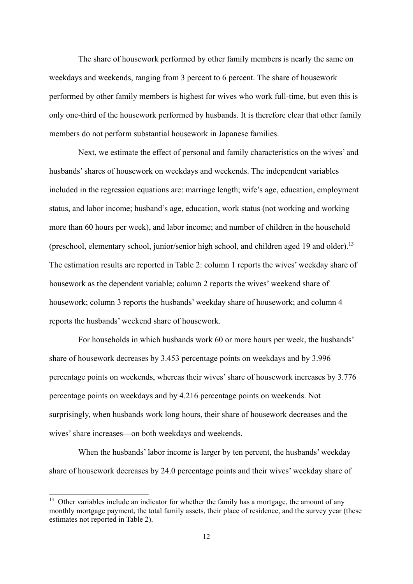The share of housework performed by other family members is nearly the same on weekdays and weekends, ranging from 3 percent to 6 percent. The share of housework performed by other family members is highest for wives who work full-time, but even this is only one-third of the housework performed by husbands. It is therefore clear that other family members do not perform substantial housework in Japanese families.

Next, we estimate the effect of personal and family characteristics on the wives' and husbands' shares of housework on weekdays and weekends. The independent variables included in the regression equations are: marriage length; wife's age, education, employment status, and labor income; husband's age, education, work status (not working and working more than 60 hours per week), and labor income; and number of children in the household (preschool, elementary school, junior/senior high school, and children aged 19 and older).<sup>13</sup> The estimation results are reported in Table 2: column 1 reports the wives' weekday share of housework as the dependent variable; column 2 reports the wives' weekend share of housework; column 3 reports the husbands' weekday share of housework; and column 4 reports the husbands' weekend share of housework.

For households in which husbands work 60 or more hours per week, the husbands' share of housework decreases by 3.453 percentage points on weekdays and by 3.996 percentage points on weekends, whereas their wives' share of housework increases by 3.776 percentage points on weekdays and by 4.216 percentage points on weekends. Not surprisingly, when husbands work long hours, their share of housework decreases and the wives' share increases—on both weekdays and weekends.

When the husbands' labor income is larger by ten percent, the husbands' weekday share of housework decreases by 24.0 percentage points and their wives' weekday share of

 $13$  Other variables include an indicator for whether the family has a mortgage, the amount of any monthly mortgage payment, the total family assets, their place of residence, and the survey year (these estimates not reported in Table 2).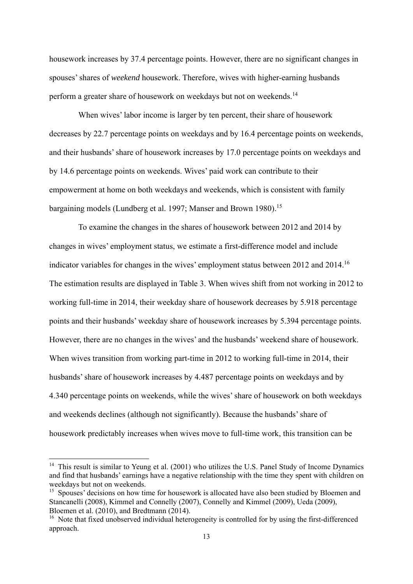housework increases by 37.4 percentage points. However, there are no significant changes in spouses' shares of *weekend* housework. Therefore, wives with higher-earning husbands perform a greater share of housework on weekdays but not on weekends.14

When wives' labor income is larger by ten percent, their share of housework decreases by 22.7 percentage points on weekdays and by 16.4 percentage points on weekends, and their husbands' share of housework increases by 17.0 percentage points on weekdays and by 14.6 percentage points on weekends. Wives' paid work can contribute to their empowerment at home on both weekdays and weekends, which is consistent with family bargaining models (Lundberg et al. 1997; Manser and Brown 1980).<sup>15</sup>

To examine the changes in the shares of housework between 2012 and 2014 by changes in wives' employment status, we estimate a first-difference model and include indicator variables for changes in the wives' employment status between 2012 and 2014.16 The estimation results are displayed in Table 3. When wives shift from not working in 2012 to working full-time in 2014, their weekday share of housework decreases by 5.918 percentage points and their husbands' weekday share of housework increases by 5.394 percentage points. However, there are no changes in the wives' and the husbands' weekend share of housework. When wives transition from working part-time in 2012 to working full-time in 2014, their husbands' share of housework increases by 4.487 percentage points on weekdays and by 4.340 percentage points on weekends, while the wives' share of housework on both weekdays and weekends declines (although not significantly). Because the husbands' share of housework predictably increases when wives move to full-time work, this transition can be

<sup>&</sup>lt;sup>14</sup> This result is similar to Yeung et al. (2001) who utilizes the U.S. Panel Study of Income Dynamics and find that husbands' earnings have a negative relationship with the time they spent with children on weekdays but not on weekends.

<sup>&</sup>lt;sup>15</sup> Spouses' decisions on how time for housework is allocated have also been studied by Bloemen and Stancanelli (2008), Kimmel and Connelly (2007), Connelly and Kimmel (2009), Ueda (2009), Bloemen et al. (2010), and Bredtmann (2014).

<sup>&</sup>lt;sup>16</sup> Note that fixed unobserved individual heterogeneity is controlled for by using the first-differenced approach.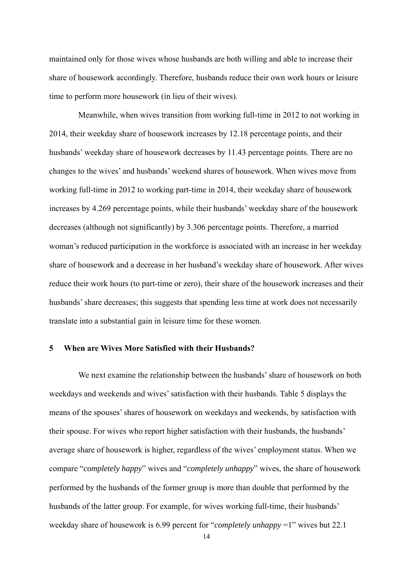maintained only for those wives whose husbands are both willing and able to increase their share of housework accordingly. Therefore, husbands reduce their own work hours or leisure time to perform more housework (in lieu of their wives).

Meanwhile, when wives transition from working full-time in 2012 to not working in 2014, their weekday share of housework increases by 12.18 percentage points, and their husbands' weekday share of housework decreases by 11.43 percentage points. There are no changes to the wives' and husbands' weekend shares of housework. When wives move from working full-time in 2012 to working part-time in 2014, their weekday share of housework increases by 4.269 percentage points, while their husbands' weekday share of the housework decreases (although not significantly) by 3.306 percentage points. Therefore, a married woman's reduced participation in the workforce is associated with an increase in her weekday share of housework and a decrease in her husband's weekday share of housework. After wives reduce their work hours (to part-time or zero), their share of the housework increases and their husbands' share decreases; this suggests that spending less time at work does not necessarily translate into a substantial gain in leisure time for these women.

## **5 When are Wives More Satisfied with their Husbands?**

We next examine the relationship between the husbands' share of housework on both weekdays and weekends and wives' satisfaction with their husbands. Table 5 displays the means of the spouses' shares of housework on weekdays and weekends, by satisfaction with their spouse. For wives who report higher satisfaction with their husbands, the husbands' average share of housework is higher, regardless of the wives' employment status. When we compare "*completely happy*" wives and "*completely unhappy*" wives, the share of housework performed by the husbands of the former group is more than double that performed by the husbands of the latter group. For example, for wives working full-time, their husbands' weekday share of housework is 6.99 percent for "*completely unhappy* =1" wives but 22.1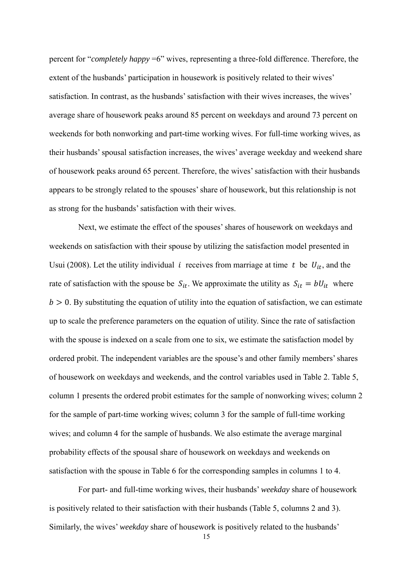percent for "*completely happy* =6" wives, representing a three-fold difference. Therefore, the extent of the husbands' participation in housework is positively related to their wives' satisfaction. In contrast, as the husbands' satisfaction with their wives increases, the wives' average share of housework peaks around 85 percent on weekdays and around 73 percent on weekends for both nonworking and part-time working wives. For full-time working wives, as their husbands' spousal satisfaction increases, the wives' average weekday and weekend share of housework peaks around 65 percent. Therefore, the wives' satisfaction with their husbands appears to be strongly related to the spouses' share of housework, but this relationship is not as strong for the husbands' satisfaction with their wives.

Next, we estimate the effect of the spouses' shares of housework on weekdays and weekends on satisfaction with their spouse by utilizing the satisfaction model presented in Usui (2008). Let the utility individual *i* receives from marriage at time *t* be  $U_{it}$ , and the rate of satisfaction with the spouse be  $S_{it}$ . We approximate the utility as  $S_{it} = bU_{it}$  where  $b > 0$ . By substituting the equation of utility into the equation of satisfaction, we can estimate up to scale the preference parameters on the equation of utility. Since the rate of satisfaction with the spouse is indexed on a scale from one to six, we estimate the satisfaction model by ordered probit. The independent variables are the spouse's and other family members' shares of housework on weekdays and weekends, and the control variables used in Table 2. Table 5, column 1 presents the ordered probit estimates for the sample of nonworking wives; column 2 for the sample of part-time working wives; column 3 for the sample of full-time working wives; and column 4 for the sample of husbands. We also estimate the average marginal probability effects of the spousal share of housework on weekdays and weekends on satisfaction with the spouse in Table 6 for the corresponding samples in columns 1 to 4.

For part- and full-time working wives, their husbands' *weekday* share of housework is positively related to their satisfaction with their husbands (Table 5, columns 2 and 3). Similarly, the wives' *weekday* share of housework is positively related to the husbands'

15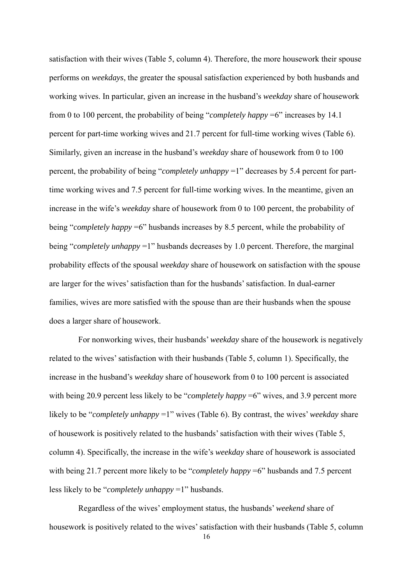satisfaction with their wives (Table 5, column 4). Therefore, the more housework their spouse performs on *weekdays*, the greater the spousal satisfaction experienced by both husbands and working wives. In particular, given an increase in the husband's *weekday* share of housework from 0 to 100 percent, the probability of being "*completely happy* =6" increases by 14.1 percent for part-time working wives and 21.7 percent for full-time working wives (Table 6). Similarly, given an increase in the husband's *weekday* share of housework from 0 to 100 percent, the probability of being "*completely unhappy* =1" decreases by 5.4 percent for parttime working wives and 7.5 percent for full-time working wives. In the meantime, given an increase in the wife's *weekday* share of housework from 0 to 100 percent, the probability of being "*completely happy* =6" husbands increases by 8.5 percent, while the probability of being "*completely unhappy* =1" husbands decreases by 1.0 percent. Therefore, the marginal probability effects of the spousal *weekday* share of housework on satisfaction with the spouse are larger for the wives' satisfaction than for the husbands' satisfaction. In dual-earner families, wives are more satisfied with the spouse than are their husbands when the spouse does a larger share of housework.

For nonworking wives, their husbands' *weekday* share of the housework is negatively related to the wives' satisfaction with their husbands (Table 5, column 1). Specifically, the increase in the husband's *weekday* share of housework from 0 to 100 percent is associated with being 20.9 percent less likely to be "*completely happy* =6" wives, and 3.9 percent more likely to be "*completely unhappy* =1" wives (Table 6). By contrast, the wives' *weekday* share of housework is positively related to the husbands' satisfaction with their wives (Table 5, column 4). Specifically, the increase in the wife's *weekday* share of housework is associated with being 21.7 percent more likely to be "*completely happy* =6" husbands and 7.5 percent less likely to be "*completely unhappy* =1" husbands.

Regardless of the wives' employment status, the husbands' *weekend* share of housework is positively related to the wives' satisfaction with their husbands (Table 5, column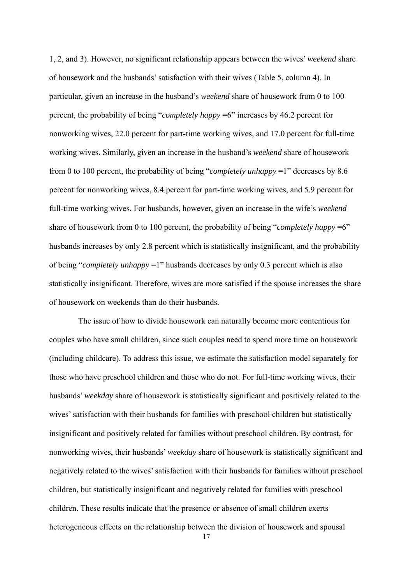1, 2, and 3). However, no significant relationship appears between the wives' *weekend* share of housework and the husbands' satisfaction with their wives (Table 5, column 4). In particular, given an increase in the husband's *weekend* share of housework from 0 to 100 percent, the probability of being "*completely happy* =6" increases by 46.2 percent for nonworking wives, 22.0 percent for part-time working wives, and 17.0 percent for full-time working wives. Similarly, given an increase in the husband's *weekend* share of housework from 0 to 100 percent, the probability of being "*completely unhappy* =1" decreases by 8.6 percent for nonworking wives, 8.4 percent for part-time working wives, and 5.9 percent for full-time working wives. For husbands, however, given an increase in the wife's *weekend* share of housework from 0 to 100 percent, the probability of being "*completely happy* =6" husbands increases by only 2.8 percent which is statistically insignificant, and the probability of being "*completely unhappy* =1" husbands decreases by only 0.3 percent which is also statistically insignificant. Therefore, wives are more satisfied if the spouse increases the share of housework on weekends than do their husbands.

The issue of how to divide housework can naturally become more contentious for couples who have small children, since such couples need to spend more time on housework (including childcare). To address this issue, we estimate the satisfaction model separately for those who have preschool children and those who do not. For full-time working wives, their husbands' *weekday* share of housework is statistically significant and positively related to the wives' satisfaction with their husbands for families with preschool children but statistically insignificant and positively related for families without preschool children. By contrast, for nonworking wives, their husbands' *weekday* share of housework is statistically significant and negatively related to the wives' satisfaction with their husbands for families without preschool children, but statistically insignificant and negatively related for families with preschool children. These results indicate that the presence or absence of small children exerts heterogeneous effects on the relationship between the division of housework and spousal

17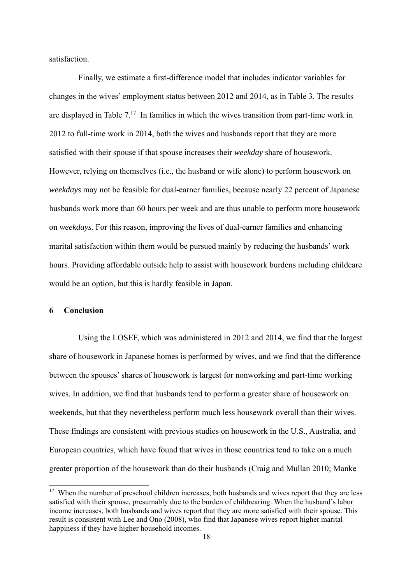satisfaction.

Finally, we estimate a first-difference model that includes indicator variables for changes in the wives' employment status between 2012 and 2014, as in Table 3. The results are displayed in Table  $7<sup>17</sup>$  In families in which the wives transition from part-time work in 2012 to full-time work in 2014, both the wives and husbands report that they are more satisfied with their spouse if that spouse increases their *weekday* share of housework. However, relying on themselves (i.e., the husband or wife alone) to perform housework on *weekdays* may not be feasible for dual-earner families, because nearly 22 percent of Japanese husbands work more than 60 hours per week and are thus unable to perform more housework on *weekdays*. For this reason, improving the lives of dual-earner families and enhancing marital satisfaction within them would be pursued mainly by reducing the husbands' work hours. Providing affordable outside help to assist with housework burdens including childcare would be an option, but this is hardly feasible in Japan.

#### **6 Conclusion**

-

Using the LOSEF, which was administered in 2012 and 2014, we find that the largest share of housework in Japanese homes is performed by wives, and we find that the difference between the spouses' shares of housework is largest for nonworking and part-time working wives. In addition, we find that husbands tend to perform a greater share of housework on weekends, but that they nevertheless perform much less housework overall than their wives. These findings are consistent with previous studies on housework in the U.S., Australia, and European countries, which have found that wives in those countries tend to take on a much greater proportion of the housework than do their husbands (Craig and Mullan 2010; Manke

<sup>&</sup>lt;sup>17</sup> When the number of preschool children increases, both husbands and wives report that they are less satisfied with their spouse, presumably due to the burden of childrearing. When the husband's labor income increases, both husbands and wives report that they are more satisfied with their spouse. This result is consistent with Lee and Ono (2008), who find that Japanese wives report higher marital happiness if they have higher household incomes.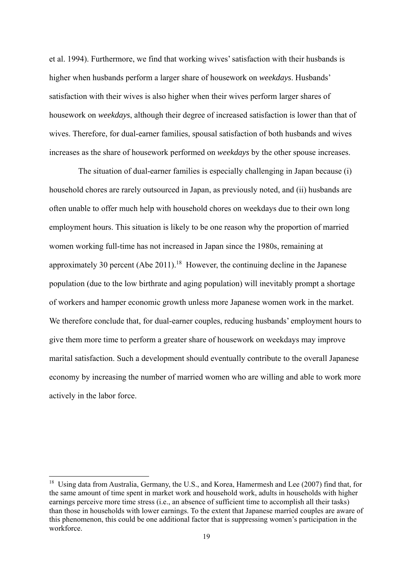et al. 1994). Furthermore, we find that working wives' satisfaction with their husbands is higher when husbands perform a larger share of housework on *weekdays*. Husbands' satisfaction with their wives is also higher when their wives perform larger shares of housework on *weekdays*, although their degree of increased satisfaction is lower than that of wives. Therefore, for dual-earner families, spousal satisfaction of both husbands and wives increases as the share of housework performed on *weekdays* by the other spouse increases.

The situation of dual-earner families is especially challenging in Japan because (i) household chores are rarely outsourced in Japan, as previously noted, and (ii) husbands are often unable to offer much help with household chores on weekdays due to their own long employment hours. This situation is likely to be one reason why the proportion of married women working full-time has not increased in Japan since the 1980s, remaining at approximately 30 percent (Abe 2011).<sup>18</sup> However, the continuing decline in the Japanese population (due to the low birthrate and aging population) will inevitably prompt a shortage of workers and hamper economic growth unless more Japanese women work in the market. We therefore conclude that, for dual-earner couples, reducing husbands' employment hours to give them more time to perform a greater share of housework on weekdays may improve marital satisfaction. Such a development should eventually contribute to the overall Japanese economy by increasing the number of married women who are willing and able to work more actively in the labor force.

<sup>&</sup>lt;sup>18</sup> Using data from Australia, Germany, the U.S., and Korea, Hamermesh and Lee (2007) find that, for the same amount of time spent in market work and household work, adults in households with higher earnings perceive more time stress (i.e., an absence of sufficient time to accomplish all their tasks) than those in households with lower earnings. To the extent that Japanese married couples are aware of this phenomenon, this could be one additional factor that is suppressing women's participation in the workforce.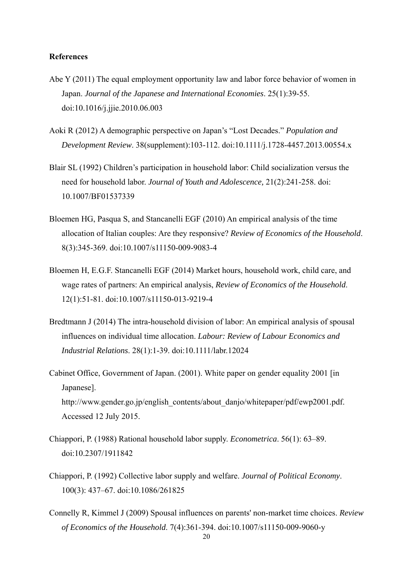#### **References**

- Abe Y (2011) The equal employment opportunity law and labor force behavior of women in Japan. *Journal of the Japanese and International Economies*. 25(1):39-55. doi:10.1016/j.jjie.2010.06.003
- Aoki R (2012) A demographic perspective on Japan's "Lost Decades." *Population and Development Review*. 38(supplement):103-112. doi:10.1111/j.1728-4457.2013.00554.x
- Blair SL (1992) Children's participation in household labor: Child socialization versus the need for household labor. *Journal of Youth and Adolescence,* 21(2):241-258. doi: 10.1007/BF01537339
- Bloemen HG, Pasqua S, and Stancanelli EGF (2010) An empirical analysis of the time allocation of Italian couples: Are they responsive? *Review of Economics of the Household*. 8(3):345-369. doi:10.1007/s11150-009-9083-4
- Bloemen H, E.G.F. Stancanelli EGF (2014) Market hours, household work, child care, and wage rates of partners: An empirical analysis, *Review of Economics of the Household*. 12(1):51-81. doi:10.1007/s11150-013-9219-4
- Bredtmann J (2014) The intra-household division of labor: An empirical analysis of spousal influences on individual time allocation. *Labour: Review of Labour Economics and Industrial Relations*. 28(1):1-39. doi:10.1111/labr.12024
- Cabinet Office, Government of Japan. (2001). White paper on gender equality 2001 [in Japanese]. http://www.gender.go.jp/english\_contents/about\_danjo/whitepaper/pdf/ewp2001.pdf. Accessed 12 July 2015.
- Chiappori, P. (1988) Rational household labor supply. *Econometrica*. 56(1): 63–89. doi:10.2307/1911842
- Chiappori, P. (1992) Collective labor supply and welfare. *Journal of Political Economy*. 100(3): 437–67. doi:10.1086/261825
- Connelly R, Kimmel J (2009) Spousal influences on parents' non-market time choices. *Review of Economics of the Household*. 7(4):361-394. doi:10.1007/s11150-009-9060-y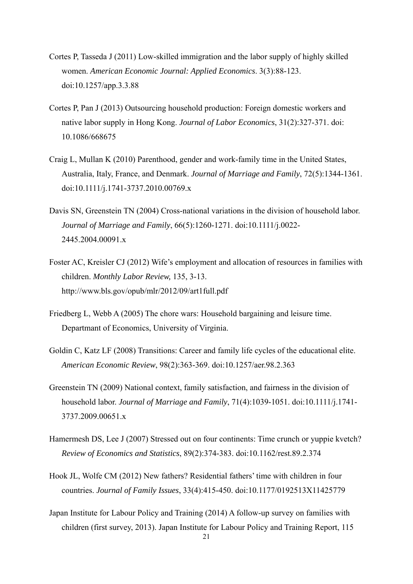- Cortes P, Tasseda J (2011) Low-skilled immigration and the labor supply of highly skilled women. *American Economic Journal: Applied Economics*. 3(3):88-123. doi:10.1257/app.3.3.88
- Cortes P, Pan J (2013) Outsourcing household production: Foreign domestic workers and native labor supply in Hong Kong. *Journal of Labor Economics*, 31(2):327-371. doi: 10.1086/668675
- Craig L, Mullan K (2010) Parenthood, gender and work-family time in the United States, Australia, Italy, France, and Denmark. *Journal of Marriage and Family*, 72(5):1344-1361. doi:10.1111/j.1741-3737.2010.00769.x
- Davis SN, Greenstein TN (2004) Cross-national variations in the division of household labor. *Journal of Marriage and Family*, 66(5):1260-1271. doi:10.1111/j.0022- 2445.2004.00091.x
- Foster AC, Kreisler CJ (2012) Wife's employment and allocation of resources in families with children. *Monthly Labor Review,* 135, 3-13. http://www.bls.gov/opub/mlr/2012/09/art1full.pdf
- Friedberg L, Webb A (2005) The chore wars: Household bargaining and leisure time. Departmant of Economics, University of Virginia.
- Goldin C, Katz LF (2008) Transitions: Career and family life cycles of the educational elite. *American Economic Review*, 98(2):363-369. doi:10.1257/aer.98.2.363
- Greenstein TN (2009) National context, family satisfaction, and fairness in the division of household labor. *Journal of Marriage and Family*, 71(4):1039-1051. doi:10.1111/j.1741- 3737.2009.00651.x
- Hamermesh DS, Lee J (2007) Stressed out on four continents: Time crunch or yuppie kvetch? *Review of Economics and Statistics*, 89(2):374-383. doi:10.1162/rest.89.2.374
- Hook JL, Wolfe CM (2012) New fathers? Residential fathers' time with children in four countries. *Journal of Family Issues*, 33(4):415-450. doi:10.1177/0192513X11425779
- Japan Institute for Labour Policy and Training (2014) A follow-up survey on families with children (first survey, 2013). Japan Institute for Labour Policy and Training Report, 115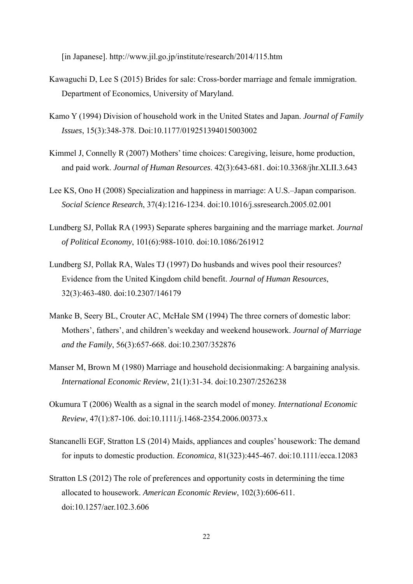[in Japanese]. http://www.jil.go.jp/institute/research/2014/115.htm

- Kawaguchi D, Lee S (2015) Brides for sale: Cross-border marriage and female immigration. Department of Economics, University of Maryland.
- Kamo Y (1994) Division of household work in the United States and Japan. *Journal of Family Issues*, 15(3):348-378. Doi:10.1177/019251394015003002
- Kimmel J, Connelly R (2007) Mothers' time choices: Caregiving, leisure, home production, and paid work. *Journal of Human Resources*. 42(3):643-681. doi:10.3368/jhr.XLII.3.643
- Lee KS, Ono H (2008) Specialization and happiness in marriage: A U.S.–Japan comparison. *Social Science Research*, 37(4):1216-1234. doi:10.1016/j.ssresearch.2005.02.001
- Lundberg SJ, Pollak RA (1993) Separate spheres bargaining and the marriage market. *Journal of Political Economy*, 101(6):988-1010. doi:10.1086/261912
- Lundberg SJ, Pollak RA, Wales TJ (1997) Do husbands and wives pool their resources? Evidence from the United Kingdom child benefit. *Journal of Human Resources*, 32(3):463-480. doi:10.2307/146179
- Manke B, Seery BL, Crouter AC, McHale SM (1994) The three corners of domestic labor: Mothers', fathers', and children's weekday and weekend housework. *Journal of Marriage and the Family*, 56(3):657-668. doi:10.2307/352876
- Manser M, Brown M (1980) Marriage and household decisionmaking: A bargaining analysis. *International Economic Review*, 21(1):31-34. doi:10.2307/2526238
- Okumura T (2006) Wealth as a signal in the search model of money. *International Economic Review*, 47(1):87-106. doi:10.1111/j.1468-2354.2006.00373.x
- Stancanelli EGF, Stratton LS (2014) Maids, appliances and couples' housework: The demand for inputs to domestic production. *Economica*, 81(323):445-467. doi:10.1111/ecca.12083
- Stratton LS (2012) The role of preferences and opportunity costs in determining the time allocated to housework. *American Economic Review*, 102(3):606-611. doi:10.1257/aer.102.3.606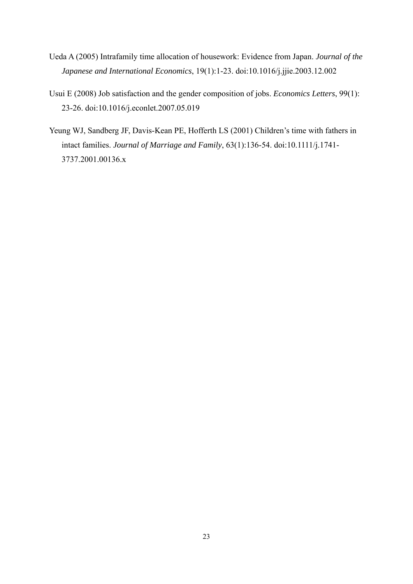- Ueda A (2005) Intrafamily time allocation of housework: Evidence from Japan. *Journal of the Japanese and International Economics*, 19(1):1-23. doi:10.1016/j.jjie.2003.12.002
- Usui E (2008) Job satisfaction and the gender composition of jobs. *Economics Letters*, 99(1): 23-26. doi:10.1016/j.econlet.2007.05.019
- Yeung WJ, Sandberg JF, Davis-Kean PE, Hofferth LS (2001) Children's time with fathers in intact families. *Journal of Marriage and Family*, 63(1):136-54. doi:10.1111/j.1741- 3737.2001.00136.x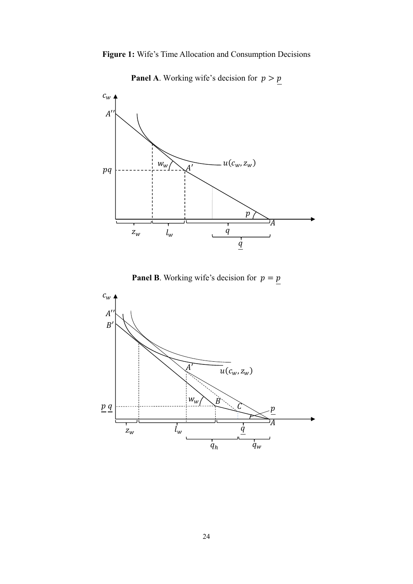



**Panel A.** Working wife's decision for  $p > p$ 



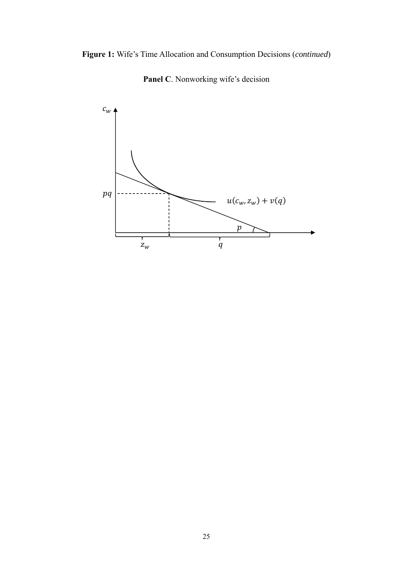



Panel C. Nonworking wife's decision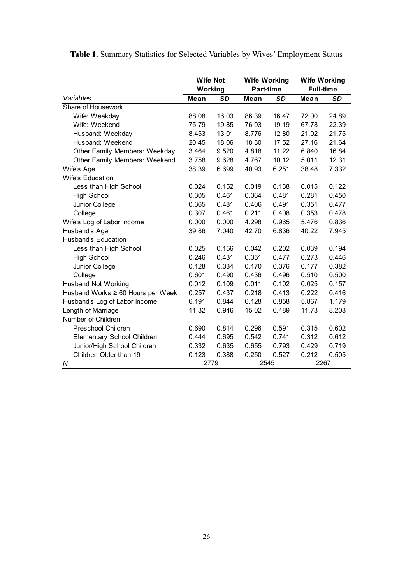|                                      | <b>Wife Not</b> |       | <b>Wife Working</b> |       | <b>Wife Working</b> |       |  |  |
|--------------------------------------|-----------------|-------|---------------------|-------|---------------------|-------|--|--|
|                                      | Working         |       | <b>Part-time</b>    |       | <b>Full-time</b>    |       |  |  |
| Variables                            | Mean            | SD    | Mean                | SD    | <b>Mean</b>         | SD    |  |  |
| Share of Housework                   |                 |       |                     |       |                     |       |  |  |
| Wife: Weekday                        | 88.08           | 16.03 | 86.39               | 16.47 | 72.00               | 24.89 |  |  |
| Wife: Weekend                        | 75.79           | 19.85 | 76.93               | 19.19 | 67.78               | 22.39 |  |  |
| Husband: Weekday                     | 8.453           | 13.01 | 8.776               | 12.80 | 21.02               | 21.75 |  |  |
| Husband: Weekend                     | 20.45           | 18.06 | 18.30               | 17.52 | 27.16               | 21.64 |  |  |
| <b>Other Family Members: Weekday</b> | 3.464           | 9.520 | 4.818               | 11.22 | 6.840               | 16.84 |  |  |
| <b>Other Family Members: Weekend</b> | 3.758           | 9.628 | 4.767               | 10.12 | 5.011               | 12.31 |  |  |
| Wife's Age                           | 38.39           | 6.699 | 40.93               | 6.251 | 38.48               | 7.332 |  |  |
| <b>Wife's Education</b>              |                 |       |                     |       |                     |       |  |  |
| Less than High School                | 0.024           | 0.152 | 0.019               | 0.138 | 0.015               | 0.122 |  |  |
| <b>High School</b>                   | 0.305           | 0.461 | 0.364               | 0.481 | 0.281               | 0.450 |  |  |
| Junior College                       | 0.365           | 0.481 | 0.406               | 0.491 | 0.351               | 0.477 |  |  |
| College                              | 0.307           | 0.461 | 0.211               | 0.408 | 0.353               | 0.478 |  |  |
| Wife's Log of Labor Income           | 0.000           | 0.000 | 4.298               | 0.965 | 5.476               | 0.836 |  |  |
| Husband's Age                        | 39.86           | 7.040 | 42.70               | 6.836 | 40.22               | 7.945 |  |  |
| <b>Husband's Education</b>           |                 |       |                     |       |                     |       |  |  |
| Less than High School                | 0.025           | 0.156 | 0.042               | 0.202 | 0.039               | 0.194 |  |  |
| <b>High School</b>                   | 0.246           | 0.431 | 0.351               | 0.477 | 0.273               | 0.446 |  |  |
| Junior College                       | 0.128           | 0.334 | 0.170               | 0.376 | 0.177               | 0.382 |  |  |
| College                              | 0.601           | 0.490 | 0.436               | 0.496 | 0.510               | 0.500 |  |  |
| <b>Husband Not Working</b>           | 0.012           | 0.109 | 0.011               | 0.102 | 0.025               | 0.157 |  |  |
| Husband Works ≥ 60 Hours per Week    | 0.257           | 0.437 | 0.218               | 0.413 | 0.222               | 0.416 |  |  |
| Husband's Log of Labor Income        | 6.191           | 0.844 | 6.128               | 0.858 | 5.867               | 1.179 |  |  |
| Length of Marriage                   | 11.32           | 6.946 | 15.02               | 6.489 | 11.73               | 8.208 |  |  |
| Number of Children                   |                 |       |                     |       |                     |       |  |  |
| Preschool Children                   | 0.690           | 0.814 | 0.296               | 0.591 | 0.315               | 0.602 |  |  |
| <b>Elementary School Children</b>    | 0.444           | 0.695 | 0.542               | 0.741 | 0.312               | 0.612 |  |  |
| Junior/High School Children          | 0.332           | 0.635 | 0.655               | 0.793 | 0.429               | 0.719 |  |  |
| Children Older than 19               | 0.123           | 0.388 | 0.250               | 0.527 | 0.212               | 0.505 |  |  |
| N                                    | 2779            |       | 2545                |       | 2267                |       |  |  |

**Table 1.** Summary Statistics for Selected Variables by Wives' Employment Status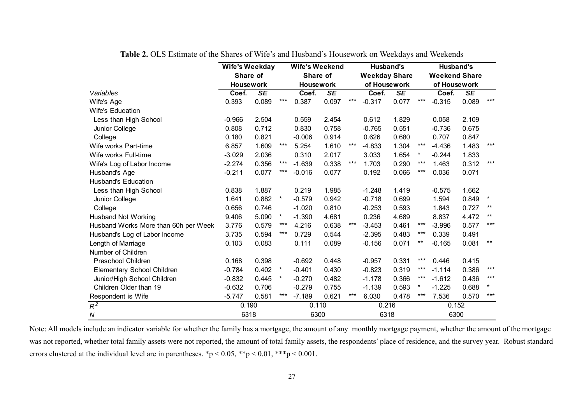|                                      | <b>Wife's Weekday</b><br>Share of |                          |         | <b>Wife's Weekend</b> |                        |       | <b>Husband's</b>     |                          |              | <b>Husband's</b>     |                        |         |  |
|--------------------------------------|-----------------------------------|--------------------------|---------|-----------------------|------------------------|-------|----------------------|--------------------------|--------------|----------------------|------------------------|---------|--|
|                                      |                                   |                          |         | Share of              |                        |       | <b>Weekday Share</b> |                          |              | <b>Weekend Share</b> |                        |         |  |
|                                      | <b>Housework</b>                  |                          |         | <b>Housework</b>      |                        |       | of Housework         |                          |              | of Housework         |                        |         |  |
| Variables                            | Coef.                             | $\overline{\mathsf{SE}}$ |         | Coef.                 | $\overline{\text{SE}}$ |       | Coef.                | $\overline{\mathsf{SE}}$ |              | Coef.                | $\overline{\text{SE}}$ |         |  |
| Wife's Age                           | 0.393                             | 0.089                    | $***$   | 0.387                 | 0.097                  | $***$ | $-0.317$             | 0.077                    | ***          | $-0.315$             | 0.089                  | $***$   |  |
| <b>Wife's Education</b>              |                                   |                          |         |                       |                        |       |                      |                          |              |                      |                        |         |  |
| Less than High School                | $-0.966$                          | 2.504                    |         | 0.559                 | 2.454                  |       | 0.612                | 1.829                    |              | 0.058                | 2.109                  |         |  |
| Junior College                       | 0.808                             | 0.712                    |         | 0.830                 | 0.758                  |       | $-0.765$             | 0.551                    |              | $-0.736$             | 0.675                  |         |  |
| College                              | 0.180                             | 0.821                    |         | $-0.006$              | 0.914                  |       | 0.626                | 0.680                    |              | 0.707                | 0.847                  |         |  |
| Wife works Part-time                 | 6.857                             | 1.609                    | ***     | 5.254                 | 1.610                  | $***$ | $-4.833$             | 1.304                    | $***$        | $-4.436$             | 1.483                  | $***$   |  |
| Wife works Full-time                 | $-3.029$                          | 2.036                    |         | 0.310                 | 2.017                  |       | 3.033                | 1.654                    | $\pmb{\ast}$ | $-0.244$             | 1.833                  |         |  |
| Wife's Log of Labor Income           | $-2.274$                          | 0.356                    | ***     | $-1.639$              | 0.338                  | ***   | 1.703                | 0.290                    | ***          | 1.463                | 0.312                  | $***$   |  |
| Husband's Age                        | $-0.211$                          | 0.077                    | ***     | $-0.016$              | 0.077                  |       | 0.192                | 0.066                    | $***$        | 0.036                | 0.071                  |         |  |
| <b>Husband's Education</b>           |                                   |                          |         |                       |                        |       |                      |                          |              |                      |                        |         |  |
| Less than High School                | 0.838                             | 1.887                    |         | 0.219                 | 1.985                  |       | $-1.248$             | 1.419                    |              | $-0.575$             | 1.662                  |         |  |
| Junior College                       | 1.641                             | 0.882                    | $\ast$  | $-0.579$              | 0.942                  |       | $-0.718$             | 0.699                    |              | 1.594                | 0.849                  | $\ast$  |  |
| College                              | 0.656                             | 0.746                    |         | $-1.020$              | 0.810                  |       | $-0.253$             | 0.593                    |              | 1.843                | 0.727                  | $***$   |  |
| <b>Husband Not Working</b>           | 9.406                             | 5.090                    | $\star$ | $-1.390$              | 4.681                  |       | 0.236                | 4.689                    |              | 8.837                | 4.472                  | $***$   |  |
| Husband Works More than 60h per Week | 3.776                             | 0.579                    | ***     | 4.216                 | 0.638                  | $***$ | $-3.453$             | 0.461                    | ***          | $-3.996$             | 0.577                  | ***     |  |
| Husband's Log of Labor Income        | 3.735                             | 0.594                    | ***     | 0.729                 | 0.544                  |       | $-2.395$             | 0.483                    | ***          | 0.339                | 0.491                  |         |  |
| Length of Marriage                   | 0.103                             | 0.083                    |         | 0.111                 | 0.089                  |       | $-0.156$             | 0.071                    | $***$        | $-0.165$             | 0.081                  | $***$   |  |
| Number of Children                   |                                   |                          |         |                       |                        |       |                      |                          |              |                      |                        |         |  |
| <b>Preschool Children</b>            | 0.168                             | 0.398                    |         | $-0.692$              | 0.448                  |       | $-0.957$             | 0.331                    | ***          | 0.446                | 0.415                  |         |  |
| Elementary School Children           | $-0.784$                          | 0.402                    | $\star$ | $-0.401$              | 0.430                  |       | $-0.823$             | 0.319                    | ***          | $-1.114$             | 0.386                  | $***$   |  |
| Junior/High School Children          | $-0.832$                          | 0.445                    | *       | $-0.270$              | 0.482                  |       | $-1.178$             | 0.366                    | $***$        | $-1.612$             | 0.436                  | $***$   |  |
| Children Older than 19               | $-0.632$                          | 0.706                    |         | $-0.279$              | 0.755                  |       | $-1.139$             | 0.593                    | $\ast$       | $-1.225$             | 0.688                  | $\star$ |  |
| Respondent is Wife                   | $-5.747$                          | 0.581                    | ***     | $-7.189$              | 0.621                  | $***$ | 6.030                | 0.478                    | $***$        | 7.536                | 0.570                  | $***$   |  |
| $R^2$                                | 0.190                             |                          |         | 0.110                 |                        |       | 0.216                |                          |              | 0.152                |                        |         |  |
| $\boldsymbol{N}$                     | 6318                              |                          |         | 6300                  |                        |       | 6318                 |                          |              | 6300                 |                        |         |  |

**Table 2.** OLS Estimate of the Shares of Wife's and Husband's Housework on Weekdays and Weekends

Note: All models include an indicator variable for whether the family has a mortgage, the amount of any monthly mortgage payment, whether the amount of the mortgage was not reported, whether total family assets were not reported, the amount of total family assets, the respondents' place of residence, and the survey year. Robust standard errors clustered at the individual level are in parentheses.  $\frac{1}{2}p < 0.05$ ,  $\frac{1}{2}p < 0.01$ ,  $\frac{1}{2}p < 0.001$ .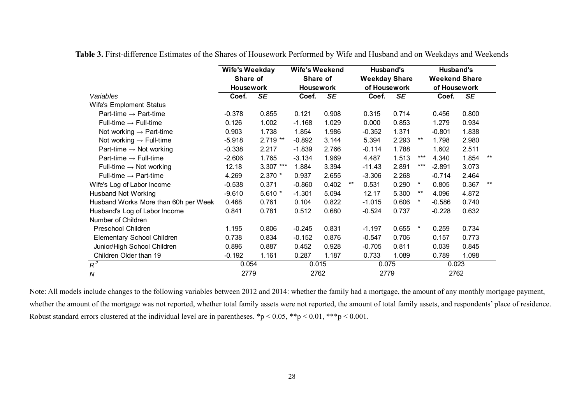|                                      | <b>Wife's Weekday</b> |                    | <b>Wife's Weekend</b> |           |       | Husband's            |           |         | Husband's            |           |       |
|--------------------------------------|-----------------------|--------------------|-----------------------|-----------|-------|----------------------|-----------|---------|----------------------|-----------|-------|
|                                      | Share of              |                    | Share of              |           |       | <b>Weekday Share</b> |           |         | <b>Weekend Share</b> |           |       |
|                                      | <b>Housework</b>      |                    | <b>Housework</b>      |           |       | of Housework         |           |         | of Housework         |           |       |
| Variables                            | Coef.                 | <b>SE</b><br>Coef. |                       | <b>SE</b> |       | Coef.                | <b>SE</b> |         | Coef.                | <b>SE</b> |       |
| Wife's Emploment Status              |                       |                    |                       |           |       |                      |           |         |                      |           |       |
| Part-time $\rightarrow$ Part-time    | $-0.378$              | 0.855              | 0.121                 | 0.908     |       | 0.315                | 0.714     |         | 0.456                | 0.800     |       |
| Full-time $\rightarrow$ Full-time    | 0.126                 | 1.002              | $-1.168$              | 1.029     |       | 0.000                | 0.853     |         | 1.279                | 0.934     |       |
| Not working $\rightarrow$ Part-time  | 0.903                 | 1.738              | 1.854                 | 1.986     |       | $-0.352$             | 1.371     |         | $-0.801$             | 1.838     |       |
| Not working $\rightarrow$ Full-time  | $-5.918$              | 2.719 **           | $-0.892$              | 3.144     |       | 5.394                | 2.293     | $***$   | 1.798                | 2.980     |       |
| Part-time $\rightarrow$ Not working  | $-0.338$              | 2.217              | $-1.839$              | 2.766     |       | $-0.114$             | 1.788     |         | 1.602                | 2.511     |       |
| Part-time $\rightarrow$ Full-time    | $-2.606$              | 1.765              | $-3.134$              | 1.969     |       | 4.487                | 1.513     | ***     | 4.340                | 1.854     | $***$ |
| Full-time $\rightarrow$ Not working  | 12.18                 | $3.307$ ***        | 1.884                 | 3.394     |       | $-11.43$             | 2.891     | ***     | $-2.891$             | 3.073     |       |
| Full-time $\rightarrow$ Part-time    | 4.269                 | 2.370 *            | 0.937                 | 2.655     |       | $-3.306$             | 2.268     |         | $-0.714$             | 2.464     |       |
| Wife's Log of Labor Income           | $-0.538$              | 0.371              | $-0.860$              | 0.402     | $***$ | 0.531                | 0.290     | $\ast$  | 0.805                | 0.367     | $***$ |
| <b>Husband Not Working</b>           | $-9.610$              | $5.610*$           | $-1.301$              | 5.094     |       | 12.17                | 5.300     | $***$   | 4.096                | 4.872     |       |
| Husband Works More than 60h per Week | 0.468                 | 0.761              | 0.104                 | 0.822     |       | $-1.015$             | 0.606     | *       | $-0.586$             | 0.740     |       |
| Husband's Log of Labor Income        | 0.841                 | 0.781              | 0.512                 | 0.680     |       | $-0.524$             | 0.737     |         | $-0.228$             | 0.632     |       |
| Number of Children                   |                       |                    |                       |           |       |                      |           |         |                      |           |       |
| Preschool Children                   | 1.195                 | 0.806              | $-0.245$              | 0.831     |       | $-1.197$             | 0.655     | $\star$ | 0.259                | 0.734     |       |
| Elementary School Children           | 0.738                 | 0.834              | $-0.152$              | 0.876     |       | $-0.547$             | 0.706     |         | 0.157                | 0.773     |       |
| Junior/High School Children          | 0.896                 | 0.887              | 0.452                 | 0.928     |       | $-0.705$             | 0.811     |         | 0.039                | 0.845     |       |
| Children Older than 19               | $-0.192$              | 1.161              | 0.287                 | 1.187     |       | 0.733                | 1.089     |         | 0.789                | 1.098     |       |
| $R^2$                                | 0.054                 |                    | 0.015                 |           |       | 0.075                |           |         | 0.023                |           |       |
| $\boldsymbol{N}$                     | 2779                  |                    |                       | 2762      |       | 2779                 |           |         | 2762                 |           |       |

**Table 3.** First-difference Estimates of the Shares of Housework Performed by Wife and Husband and on Weekdays and Weekends

Note: All models include changes to the following variables between 2012 and 2014: whether the family had a mortgage, the amount of any monthly mortgage payment, whether the amount of the mortgage was not reported, whether total family assets were not reported, the amount of total family assets, and respondents' place of residence. Robust standard errors clustered at the individual level are in parentheses. \*p < 0.05, \*\*p < 0.01, \*\*\*p < 0.001.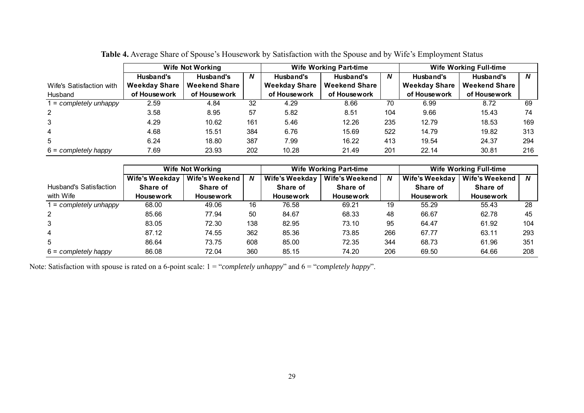|                          |                      | <b>Wife Not Working</b> |     |                      | <b>Wife Working Part-time</b> | <b>Wife Working Full-time</b> |                      |                      |                  |
|--------------------------|----------------------|-------------------------|-----|----------------------|-------------------------------|-------------------------------|----------------------|----------------------|------------------|
|                          | Husband's            | Husband's               | N   | Husband's            | Husband's                     | N                             | Husband's            | Husband's            | $\boldsymbol{N}$ |
| Wife's Satisfaction with | <b>Weekday Share</b> | <b>Weekend Share</b>    |     | <b>Weekday Share</b> | <b>Weekend Share</b>          |                               | <b>Weekday Share</b> | <b>Weekend Share</b> |                  |
| Husband                  | of Housework         | of Housework            |     | of Housework         | of Housework                  |                               | of Housework         | of Housework         |                  |
| $=$ completely unhappy   | 2.59                 | 4.84                    | 32  | 4.29                 | 8.66                          | 70                            | 6.99                 | 8.72                 | 69               |
| $\mathbf{2}^{\circ}$     | 3.58                 | 8.95                    | 57  | 5.82                 | 8.51                          | 104                           | 9.66                 | 15.43                | 74               |
| 3                        | 4.29                 | 10.62                   | 161 | 5.46                 | 12.26                         | 235                           | 12.79                | 18.53                | 169              |
| 4                        | 4.68                 | 15.51                   | 384 | 6.76                 | 15.69                         | 522                           | 14.79                | 19.82                | 313              |
| 5                        | 6.24                 | 18.80                   | 387 | 7.99                 | 16.22                         | 413                           | 19.54                | 24.37                | 294              |
| $6 = completely happy$   | 7.69                 | 23.93                   | 202 | 10.28                | 21.49                         | 201                           | 22.14                | 30.81                | 216              |

**Table 4.** Average Share of Spouse's Housework by Satisfaction with the Spouse and by Wife's Employment Status

|                               |                  | <b>Wife Not Working</b> |     |                  | <b>Wife Working Part-time</b> | <b>Wife Working Full-time</b> |                  |                  |     |
|-------------------------------|------------------|-------------------------|-----|------------------|-------------------------------|-------------------------------|------------------|------------------|-----|
|                               | Wife's Weekday   | Wife's Weekend          | N   | Wife's Weekday   | Wife's Weekend                | N                             | Wife's Weekday   | Wife's Weekend   | N   |
| <b>Husband's Satisfaction</b> | Share of         | Share of                |     | Share of         | Share of                      |                               | Share of         | Share of         |     |
| with Wife                     | <b>Housework</b> | <b>Housework</b>        |     | <b>Housework</b> | <b>Housework</b>              |                               | <b>Housework</b> | <b>Housework</b> |     |
| i = completely unhappy        | 68.00            | 49.06                   | 16  | 76.58            | 69.21                         | 19                            | 55.29            | 55.43            | 28  |
| 2                             | 85.66            | 77.94                   | 50  | 84.67            | 68.33                         | 48                            | 66.67            | 62.78            | 45  |
| 3                             | 83.05            | 72.30                   | 138 | 82.95            | 73.10                         | 95                            | 64.47            | 61.92            | 104 |
| 4                             | 87.12            | 74.55                   | 362 | 85.36            | 73.85                         | 266                           | 67.77            | 63.11            | 293 |
| 5                             | 86.64            | 73.75                   | 608 | 85.00            | 72.35                         | 344                           | 68.73            | 61.96            | 351 |
| $6 =$ completely happy        | 86.08            | 72.04                   | 360 | 85.15            | 74.20                         | 206                           | 69.50            | 64.66            | 208 |

Note: Satisfaction with spouse is rated on a 6-point scale: 1 = "*completely unhappy*" and 6 = "*completely happy*".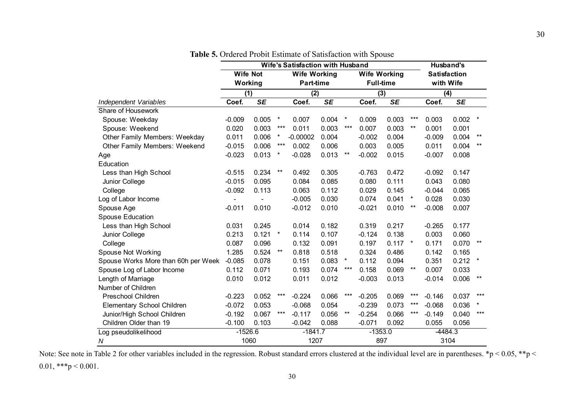|                                      | <b>Wife's Satisfaction with Husband</b> |                          |              |                     |                          |              |                     |                          |         |                     | <b>Husband's</b>         |              |  |
|--------------------------------------|-----------------------------------------|--------------------------|--------------|---------------------|--------------------------|--------------|---------------------|--------------------------|---------|---------------------|--------------------------|--------------|--|
|                                      | <b>Wife Not</b>                         |                          |              | <b>Wife Working</b> |                          |              | <b>Wife Working</b> |                          |         | <b>Satisfaction</b> |                          |              |  |
|                                      | Working                                 |                          |              | <b>Part-time</b>    |                          |              | <b>Full-time</b>    |                          |         | with Wife           |                          |              |  |
|                                      | (1)                                     |                          |              | (2)                 |                          |              | (3)                 |                          |         | (4)                 |                          |              |  |
| Independent Variables                | Coef.                                   | $\overline{\mathsf{SE}}$ |              | Coef.               | $\overline{\mathsf{SE}}$ |              | Coef.               | $\overline{\mathsf{SE}}$ |         | Coef.               | $\overline{\mathsf{SE}}$ |              |  |
| Share of Housework                   |                                         |                          |              |                     |                          |              |                     |                          |         |                     |                          |              |  |
| Spouse: Weekday                      | $-0.009$                                | 0.005                    | $\star$      | 0.007               | 0.004                    | $\ast$       | 0.009               | 0.003                    | ***     | 0.003               | 0.002                    | $\ast$       |  |
| Spouse: Weekend                      | 0.020                                   | 0.003                    | ***          | 0.011               | 0.003                    | $***$        | 0.007               | 0.003                    | $***$   | 0.001               | 0.001                    |              |  |
| <b>Other Family Members: Weekday</b> | 0.011                                   | 0.006                    | *            | $-0.00002$          | 0.004                    |              | $-0.002$            | 0.004                    |         | $-0.009$            | 0.004                    | $***$        |  |
| <b>Other Family Members: Weekend</b> | $-0.015$                                | 0.006                    | ***          | 0.002               | 0.006                    |              | 0.003               | 0.005                    |         | 0.011               | 0.004                    | $***$        |  |
| Age                                  | $-0.023$                                | 0.013                    | $\star$      | $-0.028$            | 0.013                    | $\star\star$ | $-0.002$            | 0.015                    |         | $-0.007$            | 0.008                    |              |  |
| Education                            |                                         |                          |              |                     |                          |              |                     |                          |         |                     |                          |              |  |
| Less than High School                | $-0.515$                                | 0.234                    | $***$        | 0.492               | 0.305                    |              | $-0.763$            | 0.472                    |         | $-0.092$            | 0.147                    |              |  |
| Junior College                       | $-0.015$                                | 0.095                    |              | 0.084               | 0.085                    |              | 0.080               | 0.111                    |         | 0.043               | 0.080                    |              |  |
| College                              | $-0.092$                                | 0.113                    |              | 0.063               | 0.112                    |              | 0.029               | 0.145                    |         | $-0.044$            | 0.065                    |              |  |
| Log of Labor Income                  | ٠                                       |                          |              | $-0.005$            | 0.030                    |              | 0.074               | 0.041                    | $\star$ | 0.028               | 0.030                    |              |  |
| Spouse Age                           | $-0.011$                                | 0.010                    |              | $-0.012$            | 0.010                    |              | $-0.021$            | 0.010                    | $***$   | $-0.008$            | 0.007                    |              |  |
| <b>Spouse Education</b>              |                                         |                          |              |                     |                          |              |                     |                          |         |                     |                          |              |  |
| Less than High School                | 0.031                                   | 0.245                    |              | 0.014               | 0.182                    |              | 0.319               | 0.217                    |         | $-0.265$            | 0.177                    |              |  |
| Junior College                       | 0.213                                   | 0.121                    | $\pmb{\ast}$ | 0.114               | 0.107                    |              | $-0.124$            | 0.138                    |         | 0.003               | 0.060                    |              |  |
| College                              | 0.087                                   | 0.096                    |              | 0.132               | 0.091                    |              | 0.197               | 0.117                    | $\ast$  | 0.171               | 0.070                    | **           |  |
| <b>Spouse Not Working</b>            | 1.285                                   | 0.524                    | $***$        | 0.818               | 0.518                    |              | 0.324               | 0.486                    |         | 0.142               | 0.165                    |              |  |
| Spouse Works More than 60h per Week  | $-0.085$                                | 0.078                    |              | 0.151               | 0.083                    | $\star$      | 0.112               | 0.094                    |         | 0.351               | 0.212                    | $\pmb{\ast}$ |  |
| Spouse Log of Labor Income           | 0.112                                   | 0.071                    |              | 0.193               | 0.074                    | $***$        | 0.158               | 0.069                    | $***$   | 0.007               | 0.033                    |              |  |
| Length of Marriage                   | 0.010                                   | 0.012                    |              | 0.011               | 0.012                    |              | $-0.003$            | 0.013                    |         | $-0.014$            | 0.006                    | $***$        |  |
| Number of Children                   |                                         |                          |              |                     |                          |              |                     |                          |         |                     |                          |              |  |
| Preschool Children                   | $-0.223$                                | 0.052                    | $***$        | $-0.224$            | 0.066                    | ***          | $-0.205$            | 0.069                    | ***     | $-0.146$            | 0.037                    | $***$        |  |
| Elementary School Children           | $-0.072$                                | 0.053                    |              | $-0.068$            | 0.054                    |              | $-0.239$            | 0.073                    | $***$   | $-0.068$            | 0.036                    | *            |  |
| Junior/High School Children          | $-0.192$                                | 0.067                    | ***          | $-0.117$            | 0.056                    | $***$        | $-0.254$            | 0.066                    | ***     | $-0.149$            | 0.040                    | ***          |  |
| Children Older than 19               | $-0.100$                                | 0.103                    |              | $-0.042$            | 0.088                    |              | $-0.071$            | 0.092                    |         | 0.055               | 0.056                    |              |  |
| Log pseudolikelihood                 | $-1526.6$                               |                          |              | $-1841.7$           |                          |              | $-1353.0$           |                          |         | $-4484.3$           |                          |              |  |
| N                                    | 1060                                    |                          |              | 1207                |                          |              | 897                 |                          |         | 3104                |                          |              |  |

**Table 5.** Ordered Probit Estimate of Satisfaction with Spouse

Note: See note in Table 2 for other variables included in the regression. Robust standard errors clustered at the individual level are in parentheses. \*p < 0.05, \*\*p < 0.01, \*\*\*  $p < 0.001$ .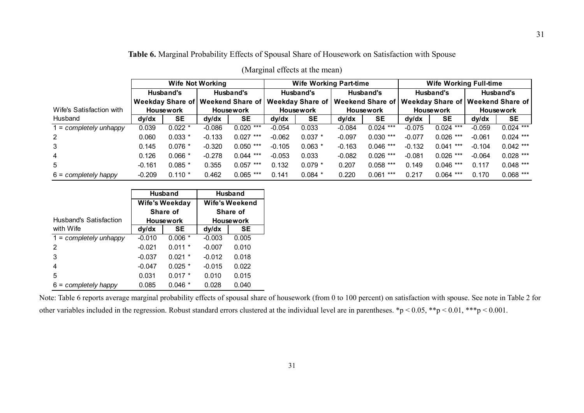# **Table 6.** Marginal Probability Effects of Spousal Share of Housework on Satisfaction with Spouse

|                          |                  |           | <b>Wife Not Working</b> |                                                                                                                 |                  | <b>Wife Working Part-time</b> |           |             | <b>Wife Working Full-time</b> |             |                  |             |  |  |
|--------------------------|------------------|-----------|-------------------------|-----------------------------------------------------------------------------------------------------------------|------------------|-------------------------------|-----------|-------------|-------------------------------|-------------|------------------|-------------|--|--|
|                          |                  | Husband's |                         | Husband's                                                                                                       |                  | Husband's                     |           | Husband's   |                               | Husband's   | Husband's        |             |  |  |
|                          |                  |           |                         | Weekday Share of   Weekend Share of   Weekday Share of   Weekend Share of   Weekday Share of   Weekend Share of |                  |                               |           |             |                               |             |                  |             |  |  |
| Wife's Satisfaction with | <b>Housework</b> |           | <b>Housework</b>        |                                                                                                                 | <b>Housework</b> |                               | Housework |             | <b>Housework</b>              |             | <b>Housework</b> |             |  |  |
| Husband                  | dy/dx            | SE        | dy/dx                   | <b>SE</b>                                                                                                       | dy/dx            | SE                            | dy/dx     | <b>SE</b>   | dy/dx                         | <b>SE</b>   | dy/dx            | <b>SE</b>   |  |  |
| l = completely unhappy   | 0.039            | $0.022 *$ | $-0.086$                | $0.020$ ***                                                                                                     | $-0.054$         | 0.033                         | $-0.084$  | $0.024$ *** | $-0.075$                      | $0.024$ *** | $-0.059$         | $0.024$ *** |  |  |
| $\overline{2}$           | 0.060            | $0.033*$  | $-0.133$                | $0.027$ ***                                                                                                     | $-0.062$         | $0.037$ *                     | $-0.097$  | $0.030$ *** | $-0.077$                      | $0.026$ *** | $-0.061$         | $0.024$ *** |  |  |
| 3                        | 0.145            | $0.076*$  | $-0.320$                | $0.050$ ***                                                                                                     | $-0.105$         | $0.063*$                      | $-0.163$  | $0.046$ *** | $-0.132$                      | $0.041$ *** | $-0.104$         | $0.042$ *** |  |  |
| $\overline{4}$           | 0.126            | $0.066*$  | $-0.278$                | $0.044$ ***                                                                                                     | $-0.053$         | 0.033                         | $-0.082$  | $0.026$ *** | $-0.081$                      | $0.026$ *** | $-0.064$         | $0.028$ *** |  |  |
| 5                        | $-0.161$         | $0.085$ * | 0.355                   | $0.057$ ***                                                                                                     | 0.132            | $0.079*$                      | 0.207     | $0.058$ *** | 0.149                         | $0.046$ *** | 0.117            | $0.048$ *** |  |  |
| $6 =$ completely happy   | $-0.209$         | $0.110*$  | 0.462                   | $0.065$ ***                                                                                                     | 0.141            | $0.084$ *                     | 0.220     | $0.061***$  | 0.217                         | $0.064$ *** | 0.170            | $0.068$ *** |  |  |

# (Marginal effects at the mean)

|                          |          | <b>Husband</b>        | <b>Husband</b>   |          |  |  |  |
|--------------------------|----------|-----------------------|------------------|----------|--|--|--|
|                          |          | <b>Wife's Weekday</b> | Wife's Weekend   |          |  |  |  |
|                          |          | Share of              |                  | Share of |  |  |  |
| Husband's Satisfaction   |          | <b>Housework</b>      | <b>Housework</b> |          |  |  |  |
| with Wife                | dy/dx    | <b>SE</b>             | dy/dx            | SE       |  |  |  |
| $1 =$ completely unhappy | $-0.010$ | $0.006*$              | $-0.003$         | 0.005    |  |  |  |
| 2                        | $-0.021$ | $0.011 *$             | $-0.007$         | 0.010    |  |  |  |
| 3                        | $-0.037$ | $0.021$ *             | $-0.012$         | 0.018    |  |  |  |
| 4                        | $-0.047$ | $0.025$ *             | $-0.015$         | 0.022    |  |  |  |
| 5                        | 0.031    | $0.017*$              | 0.010            | 0.015    |  |  |  |
| $6 =$ completely happy   | 0.085    | 0.046<br>$\ast$       | 0.028            | 0.040    |  |  |  |

Note: Table 6 reports average marginal probability effects of spousal share of housework (from 0 to 100 percent) on satisfaction with spouse. See note in Table 2 for other variables included in the regression. Robust standard errors clustered at the individual level are in parentheses. \*p < 0.05, \*\*p < 0.01, \*\*\*p < 0.001.